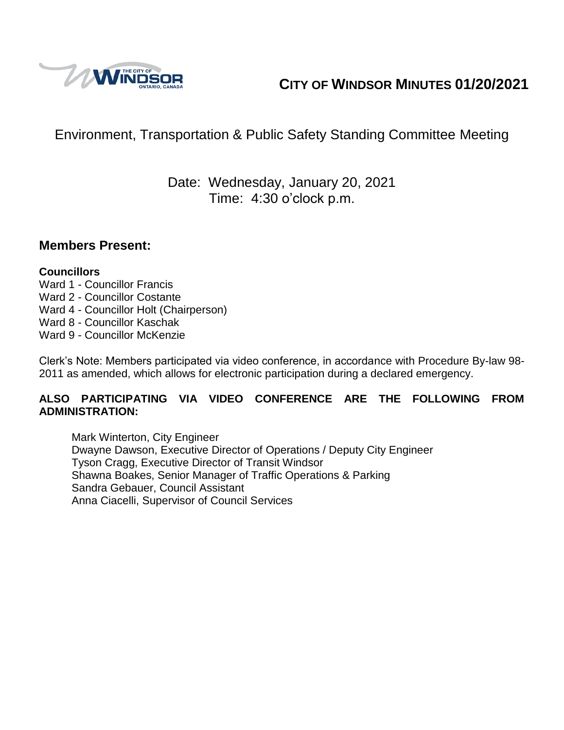

# **CITY OF WINDSOR MINUTES 01/20/2021**

# Environment, Transportation & Public Safety Standing Committee Meeting

# Date: Wednesday, January 20, 2021 Time: 4:30 o'clock p.m.

### **Members Present:**

#### **Councillors**

- Ward 1 Councillor Francis
- Ward 2 Councillor Costante
- Ward 4 Councillor Holt (Chairperson)
- Ward 8 Councillor Kaschak
- Ward 9 Councillor McKenzie

Clerk's Note: Members participated via video conference, in accordance with Procedure By-law 98- 2011 as amended, which allows for electronic participation during a declared emergency.

#### **ALSO PARTICIPATING VIA VIDEO CONFERENCE ARE THE FOLLOWING FROM ADMINISTRATION:**

Mark Winterton, City Engineer Dwayne Dawson, Executive Director of Operations / Deputy City Engineer Tyson Cragg, Executive Director of Transit Windsor Shawna Boakes, Senior Manager of Traffic Operations & Parking Sandra Gebauer, Council Assistant Anna Ciacelli, Supervisor of Council Services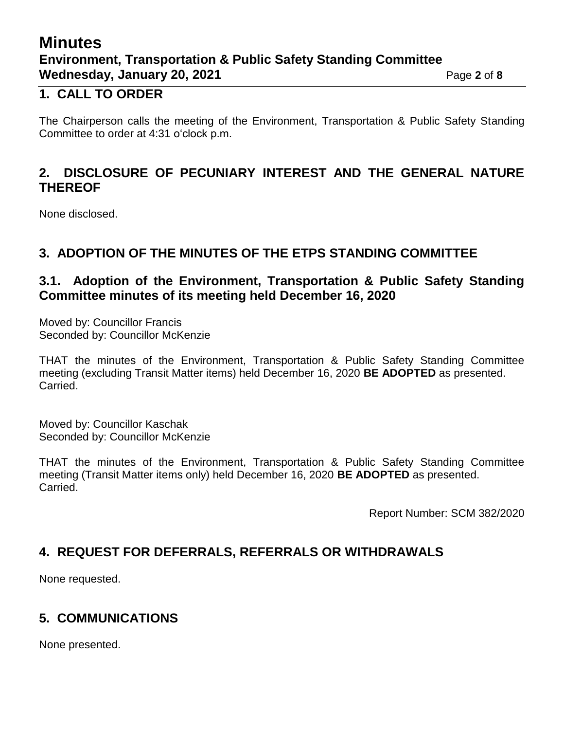# **Minutes Environment, Transportation & Public Safety Standing Committee Wednesday, January 20, 2021 Page 2** of 8

### **1. CALL TO ORDER**

The Chairperson calls the meeting of the Environment, Transportation & Public Safety Standing Committee to order at 4:31 o'clock p.m.

## **2. DISCLOSURE OF PECUNIARY INTEREST AND THE GENERAL NATURE THEREOF**

None disclosed.

## **3. ADOPTION OF THE MINUTES OF THE ETPS STANDING COMMITTEE**

### **3.1. Adoption of the Environment, Transportation & Public Safety Standing Committee minutes of its meeting held December 16, 2020**

Moved by: Councillor Francis Seconded by: Councillor McKenzie

THAT the minutes of the Environment, Transportation & Public Safety Standing Committee meeting (excluding Transit Matter items) held December 16, 2020 **BE ADOPTED** as presented. Carried.

Moved by: Councillor Kaschak Seconded by: Councillor McKenzie

THAT the minutes of the Environment, Transportation & Public Safety Standing Committee meeting (Transit Matter items only) held December 16, 2020 **BE ADOPTED** as presented. Carried.

Report Number: SCM 382/2020

# **4. REQUEST FOR DEFERRALS, REFERRALS OR WITHDRAWALS**

None requested.

# **5. COMMUNICATIONS**

None presented.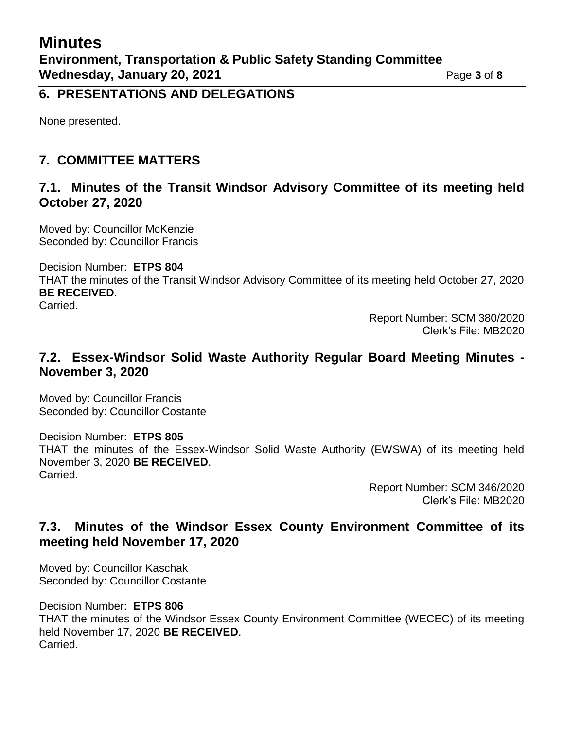### **6. PRESENTATIONS AND DELEGATIONS**

None presented.

## **7. COMMITTEE MATTERS**

#### **7.1. Minutes of the Transit Windsor Advisory Committee of its meeting held October 27, 2020**

Moved by: Councillor McKenzie Seconded by: Councillor Francis

Decision Number: **ETPS 804**

THAT the minutes of the Transit Windsor Advisory Committee of its meeting held October 27, 2020 **BE RECEIVED**.

Carried.

Report Number: SCM 380/2020 Clerk's File: MB2020

### **7.2. Essex-Windsor Solid Waste Authority Regular Board Meeting Minutes - November 3, 2020**

Moved by: Councillor Francis Seconded by: Councillor Costante

Decision Number: **ETPS 805** THAT the minutes of the Essex-Windsor Solid Waste Authority (EWSWA) of its meeting held November 3, 2020 **BE RECEIVED**. Carried.

Report Number: SCM 346/2020 Clerk's File: MB2020

## **7.3. Minutes of the Windsor Essex County Environment Committee of its meeting held November 17, 2020**

Moved by: Councillor Kaschak Seconded by: Councillor Costante

Decision Number: **ETPS 806**

THAT the minutes of the Windsor Essex County Environment Committee (WECEC) of its meeting held November 17, 2020 **BE RECEIVED**. Carried.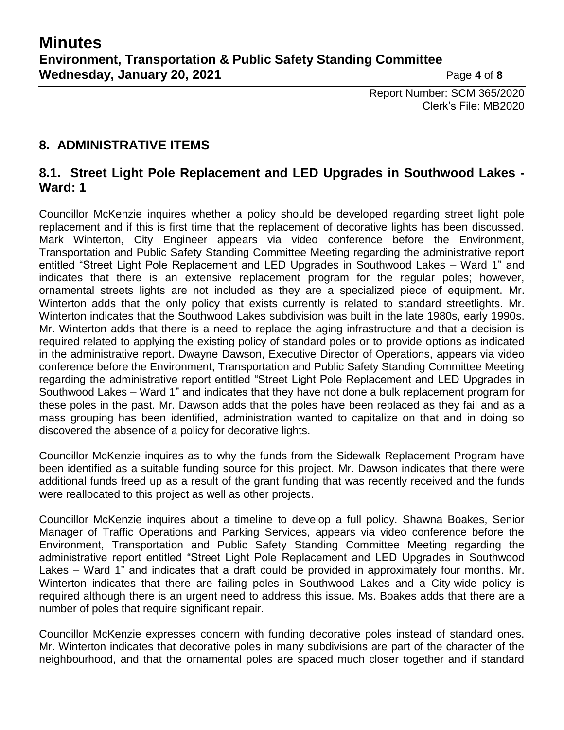Report Number: SCM 365/2020 Clerk's File: MB2020

## **8. ADMINISTRATIVE ITEMS**

#### **8.1. Street Light Pole Replacement and LED Upgrades in Southwood Lakes - Ward: 1**

Councillor McKenzie inquires whether a policy should be developed regarding street light pole replacement and if this is first time that the replacement of decorative lights has been discussed. Mark Winterton, City Engineer appears via video conference before the Environment, Transportation and Public Safety Standing Committee Meeting regarding the administrative report entitled "Street Light Pole Replacement and LED Upgrades in Southwood Lakes – Ward 1" and indicates that there is an extensive replacement program for the regular poles; however, ornamental streets lights are not included as they are a specialized piece of equipment. Mr. Winterton adds that the only policy that exists currently is related to standard streetlights. Mr. Winterton indicates that the Southwood Lakes subdivision was built in the late 1980s, early 1990s. Mr. Winterton adds that there is a need to replace the aging infrastructure and that a decision is required related to applying the existing policy of standard poles or to provide options as indicated in the administrative report. Dwayne Dawson, Executive Director of Operations, appears via video conference before the Environment, Transportation and Public Safety Standing Committee Meeting regarding the administrative report entitled "Street Light Pole Replacement and LED Upgrades in Southwood Lakes – Ward 1" and indicates that they have not done a bulk replacement program for these poles in the past. Mr. Dawson adds that the poles have been replaced as they fail and as a mass grouping has been identified, administration wanted to capitalize on that and in doing so discovered the absence of a policy for decorative lights.

Councillor McKenzie inquires as to why the funds from the Sidewalk Replacement Program have been identified as a suitable funding source for this project. Mr. Dawson indicates that there were additional funds freed up as a result of the grant funding that was recently received and the funds were reallocated to this project as well as other projects.

Councillor McKenzie inquires about a timeline to develop a full policy. Shawna Boakes, Senior Manager of Traffic Operations and Parking Services, appears via video conference before the Environment, Transportation and Public Safety Standing Committee Meeting regarding the administrative report entitled "Street Light Pole Replacement and LED Upgrades in Southwood Lakes – Ward 1" and indicates that a draft could be provided in approximately four months. Mr. Winterton indicates that there are failing poles in Southwood Lakes and a City-wide policy is required although there is an urgent need to address this issue. Ms. Boakes adds that there are a number of poles that require significant repair.

Councillor McKenzie expresses concern with funding decorative poles instead of standard ones. Mr. Winterton indicates that decorative poles in many subdivisions are part of the character of the neighbourhood, and that the ornamental poles are spaced much closer together and if standard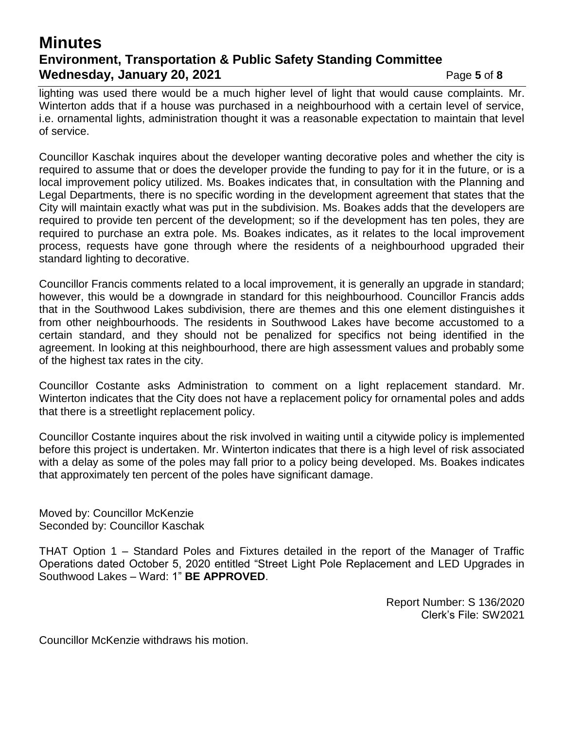# **Minutes Environment, Transportation & Public Safety Standing Committee Wednesday, January 20, 2021 Page 5** of 8

lighting was used there would be a much higher level of light that would cause complaints. Mr. Winterton adds that if a house was purchased in a neighbourhood with a certain level of service, i.e. ornamental lights, administration thought it was a reasonable expectation to maintain that level of service.

Councillor Kaschak inquires about the developer wanting decorative poles and whether the city is required to assume that or does the developer provide the funding to pay for it in the future, or is a local improvement policy utilized. Ms. Boakes indicates that, in consultation with the Planning and Legal Departments, there is no specific wording in the development agreement that states that the City will maintain exactly what was put in the subdivision. Ms. Boakes adds that the developers are required to provide ten percent of the development; so if the development has ten poles, they are required to purchase an extra pole. Ms. Boakes indicates, as it relates to the local improvement process, requests have gone through where the residents of a neighbourhood upgraded their standard lighting to decorative.

Councillor Francis comments related to a local improvement, it is generally an upgrade in standard; however, this would be a downgrade in standard for this neighbourhood. Councillor Francis adds that in the Southwood Lakes subdivision, there are themes and this one element distinguishes it from other neighbourhoods. The residents in Southwood Lakes have become accustomed to a certain standard, and they should not be penalized for specifics not being identified in the agreement. In looking at this neighbourhood, there are high assessment values and probably some of the highest tax rates in the city.

Councillor Costante asks Administration to comment on a light replacement standard. Mr. Winterton indicates that the City does not have a replacement policy for ornamental poles and adds that there is a streetlight replacement policy.

Councillor Costante inquires about the risk involved in waiting until a citywide policy is implemented before this project is undertaken. Mr. Winterton indicates that there is a high level of risk associated with a delay as some of the poles may fall prior to a policy being developed. Ms. Boakes indicates that approximately ten percent of the poles have significant damage.

Moved by: Councillor McKenzie Seconded by: Councillor Kaschak

THAT Option 1 – Standard Poles and Fixtures detailed in the report of the Manager of Traffic Operations dated October 5, 2020 entitled "Street Light Pole Replacement and LED Upgrades in Southwood Lakes – Ward: 1" **BE APPROVED**.

> Report Number: S 136/2020 Clerk's File: SW2021

Councillor McKenzie withdraws his motion.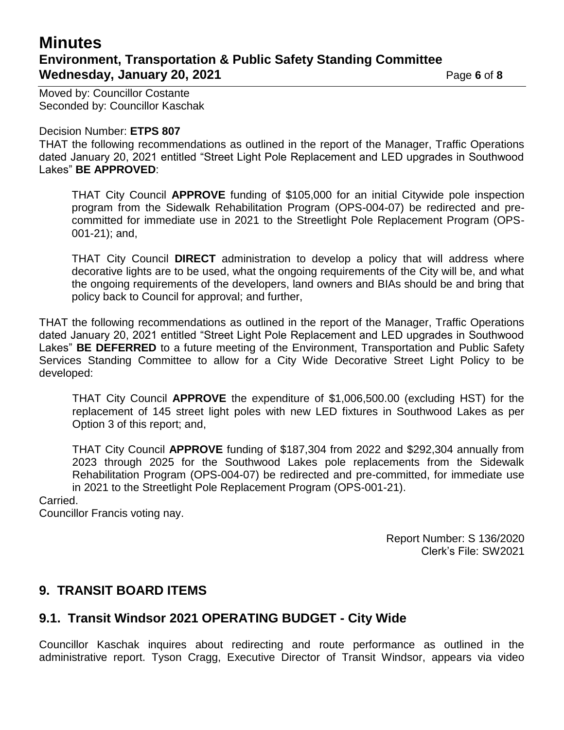# **Minutes Environment, Transportation & Public Safety Standing Committee Wednesday, January 20, 2021 Page 6** of 8

Moved by: Councillor Costante

Decision Number: **ETPS 807**

Seconded by: Councillor Kaschak

THAT the following recommendations as outlined in the report of the Manager, Traffic Operations dated January 20, 2021 entitled "Street Light Pole Replacement and LED upgrades in Southwood Lakes" **BE APPROVED**:

THAT City Council **APPROVE** funding of \$105,000 for an initial Citywide pole inspection program from the Sidewalk Rehabilitation Program (OPS-004-07) be redirected and precommitted for immediate use in 2021 to the Streetlight Pole Replacement Program (OPS-001-21); and,

THAT City Council **DIRECT** administration to develop a policy that will address where decorative lights are to be used, what the ongoing requirements of the City will be, and what the ongoing requirements of the developers, land owners and BIAs should be and bring that policy back to Council for approval; and further,

THAT the following recommendations as outlined in the report of the Manager, Traffic Operations dated January 20, 2021 entitled "Street Light Pole Replacement and LED upgrades in Southwood Lakes" **BE DEFERRED** to a future meeting of the Environment, Transportation and Public Safety Services Standing Committee to allow for a City Wide Decorative Street Light Policy to be developed:

THAT City Council **APPROVE** the expenditure of \$1,006,500.00 (excluding HST) for the replacement of 145 street light poles with new LED fixtures in Southwood Lakes as per Option 3 of this report; and,

THAT City Council **APPROVE** funding of \$187,304 from 2022 and \$292,304 annually from 2023 through 2025 for the Southwood Lakes pole replacements from the Sidewalk Rehabilitation Program (OPS-004-07) be redirected and pre-committed, for immediate use in 2021 to the Streetlight Pole Replacement Program (OPS-001-21).

#### Carried.

Councillor Francis voting nay.

Report Number: S 136/2020 Clerk's File: SW2021

#### **9. TRANSIT BOARD ITEMS**

#### **9.1. Transit Windsor 2021 OPERATING BUDGET - City Wide**

Councillor Kaschak inquires about redirecting and route performance as outlined in the administrative report. Tyson Cragg, Executive Director of Transit Windsor, appears via video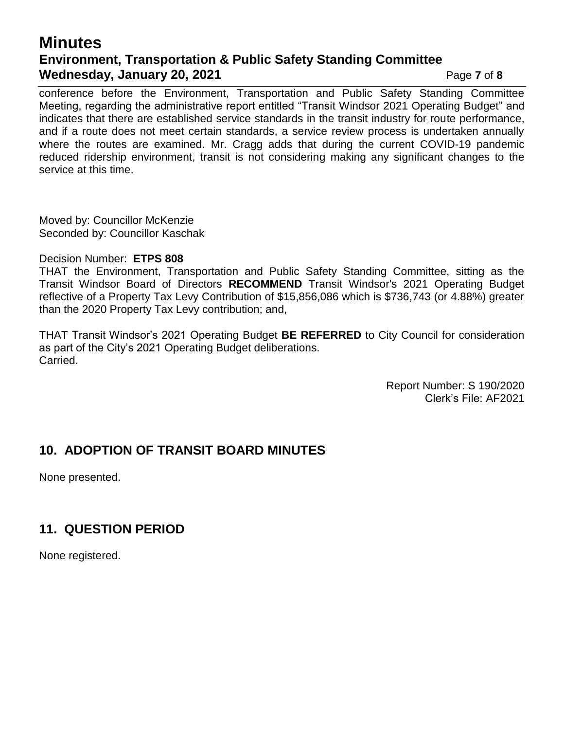# **Minutes Environment, Transportation & Public Safety Standing Committee Wednesday, January 20, 2021** Page 7 of 8

conference before the Environment, Transportation and Public Safety Standing Committee Meeting, regarding the administrative report entitled "Transit Windsor 2021 Operating Budget" and indicates that there are established service standards in the transit industry for route performance, and if a route does not meet certain standards, a service review process is undertaken annually where the routes are examined. Mr. Cragg adds that during the current COVID-19 pandemic reduced ridership environment, transit is not considering making any significant changes to the service at this time.

Moved by: Councillor McKenzie Seconded by: Councillor Kaschak

#### Decision Number: **ETPS 808**

THAT the Environment, Transportation and Public Safety Standing Committee, sitting as the Transit Windsor Board of Directors **RECOMMEND** Transit Windsor's 2021 Operating Budget reflective of a Property Tax Levy Contribution of \$15,856,086 which is \$736,743 (or 4.88%) greater than the 2020 Property Tax Levy contribution; and,

THAT Transit Windsor's 2021 Operating Budget **BE REFERRED** to City Council for consideration as part of the City's 2021 Operating Budget deliberations. Carried.

> Report Number: S 190/2020 Clerk's File: AF2021

### **10. ADOPTION OF TRANSIT BOARD MINUTES**

None presented.

### **11. QUESTION PERIOD**

None registered.